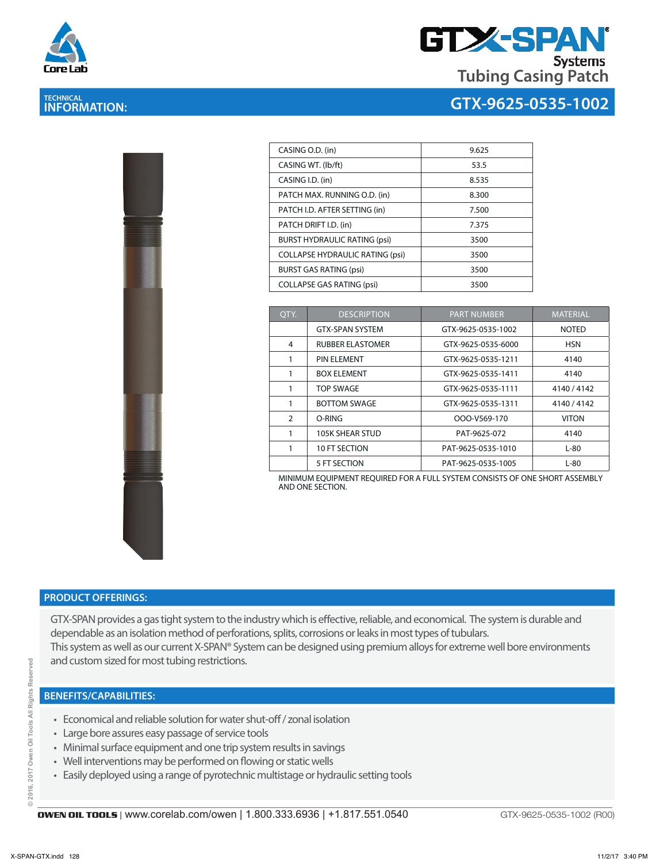

# **TECHNICAL INFORMATION:**



## **GTX-9625-0535-1002**

|                                                                              | <b>Contract of Contract of Contract of Contract of Contract of Contract of Contract of Contract of Contract of Contract of Contract of Contract of Contract of Contract of Contract of Contract of Contract of Contract of Contr</b> | <b>Contractor Contractor</b><br>Ŗ |  |
|------------------------------------------------------------------------------|--------------------------------------------------------------------------------------------------------------------------------------------------------------------------------------------------------------------------------------|-----------------------------------|--|
|                                                                              |                                                                                                                                                                                                                                      |                                   |  |
|                                                                              |                                                                                                                                                                                                                                      |                                   |  |
|                                                                              |                                                                                                                                                                                                                                      |                                   |  |
|                                                                              |                                                                                                                                                                                                                                      |                                   |  |
| the property of the property of the company of the company of the company of |                                                                                                                                                                                                                                      |                                   |  |
|                                                                              |                                                                                                                                                                                                                                      |                                   |  |
|                                                                              |                                                                                                                                                                                                                                      | i.                                |  |
|                                                                              |                                                                                                                                                                                                                                      |                                   |  |

| CASING O.D. (in)                       | 9.625 |
|----------------------------------------|-------|
| CASING WT. (lb/ft)                     | 53.5  |
| CASING I.D. (in)                       | 8.535 |
| PATCH MAX. RUNNING O.D. (in)           | 8.300 |
| PATCH I.D. AFTER SETTING (in)          | 7.500 |
| PATCH DRIFT I.D. (in)                  | 7.375 |
| <b>BURST HYDRAULIC RATING (psi)</b>    | 3500  |
| <b>COLLAPSE HYDRAULIC RATING (psi)</b> | 3500  |
| <b>BURST GAS RATING (psi)</b>          | 3500  |
| <b>COLLAPSE GAS RATING (psi)</b>       | 3500  |

| OTY.           | <b>DESCRIPTION</b>      | <b>PART NUMBER</b> | <b>MATERIAL</b> |
|----------------|-------------------------|--------------------|-----------------|
|                | <b>GTX-SPAN SYSTEM</b>  | GTX-9625-0535-1002 | <b>NOTED</b>    |
| 4              | <b>RUBBER ELASTOMER</b> | GTX-9625-0535-6000 | <b>HSN</b>      |
|                | PIN ELEMENT             | GTX-9625-0535-1211 | 4140            |
|                | <b>BOX ELEMENT</b>      | GTX-9625-0535-1411 | 4140            |
|                | <b>TOP SWAGE</b>        | GTX-9625-0535-1111 | 4140/4142       |
|                | <b>BOTTOM SWAGE</b>     | GTX-9625-0535-1311 | 4140 / 4142     |
| $\overline{2}$ | O-RING                  | OOO-V569-170       | <b>VITON</b>    |
|                | 105K SHEAR STUD         | PAT-9625-072       | 4140            |
|                | 10 FT SECTION           | PAT-9625-0535-1010 | L-80            |
|                | 5 FT SECTION            | PAT-9625-0535-1005 | $L-80$          |

MINIMUM EQUIPMENT REQUIRED FOR A FULL SYSTEM CONSISTS OF ONE SHORT ASSEMBLY AND ONE SECTION.

#### **PRODUCT OFFERINGS:**

GTX-SPAN provides a gas tight system to the industry which is effective, reliable, and economical. The system is durable and dependable as an isolation method of perforations, splits, corrosions or leaks in most types of tubulars. This system as well as our current X-SPAN® System can be designed using premium alloys for extreme well bore environments and custom sized for most tubing restrictions.

### **BENEFITS/CAPABILITIES:**

- Economical and reliable solution for water shut-off / zonal isolation
- Large bore assures easy passage of service tools
- Minimal surface equipment and one trip system results in savings
- Well interventions may be performed on flowing or static wells
- Easily deployed using a range of pyrotechnic multistage or hydraulic setting tools

GTX-9625-0535-1002 (R00)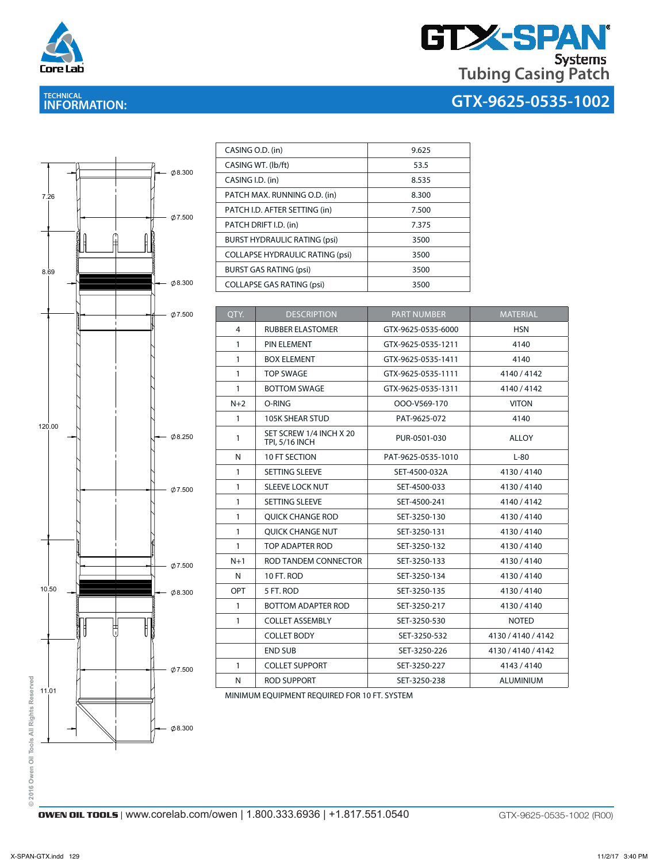

**TECHNICAL INFORMATION:** 

# **GTX-SPAN Tubing Casing Patch**

# **GTX-9625-0535-1002**



| CASING O.D. (in)                       | 9.625 |
|----------------------------------------|-------|
| CASING WT. (lb/ft)                     | 53.5  |
| CASING I.D. (in)                       | 8.535 |
| PATCH MAX. RUNNING O.D. (in)           | 8.300 |
| PATCH I.D. AFTER SETTING (in)          | 7.500 |
| PATCH DRIFT I.D. (in)                  | 7.375 |
| <b>BURST HYDRAULIC RATING (psi)</b>    | 3500  |
| <b>COLLAPSE HYDRAULIC RATING (psi)</b> | 3500  |
| <b>BURST GAS RATING (psi)</b>          | 3500  |
| <b>COLLAPSE GAS RATING (psi)</b>       | 3500  |

| QTY.         | <b>DESCRIPTION</b>                               | <b>PART NUMBER</b> | <b>MATERIAL</b>    |
|--------------|--------------------------------------------------|--------------------|--------------------|
| 4            | <b>RUBBER ELASTOMER</b>                          | GTX-9625-0535-6000 | <b>HSN</b>         |
| $\mathbf{1}$ | PIN ELEMENT                                      | GTX-9625-0535-1211 | 4140               |
| 1            | <b>BOX ELEMENT</b>                               | GTX-9625-0535-1411 | 4140               |
| $\mathbf{1}$ | <b>TOP SWAGE</b>                                 | GTX-9625-0535-1111 | 4140/4142          |
| 1            | <b>BOTTOM SWAGE</b>                              | GTX-9625-0535-1311 | 4140/4142          |
| $N+2$        | O-RING                                           | OOO-V569-170       | <b>VITON</b>       |
| 1            | <b>105K SHEAR STUD</b>                           | PAT-9625-072       | 4140               |
| $\mathbf{1}$ | SET SCREW 1/4 INCH X 20<br><b>TPI, 5/16 INCH</b> | PUR-0501-030       | <b>ALLOY</b>       |
| N            | <b>10 FT SECTION</b>                             | PAT-9625-0535-1010 | $L-80$             |
| $\mathbf{1}$ | <b>SETTING SLEEVE</b>                            | SET-4500-032A      | 4130/4140          |
| $\mathbf{1}$ | <b>SLEEVE LOCK NUT</b>                           | SET-4500-033       | 4130/4140          |
| 1            | SETTING SLEEVE                                   | SET-4500-241       | 4140/4142          |
| $\mathbf{1}$ | <b>OUICK CHANGE ROD</b>                          | SET-3250-130       | 4130/4140          |
| $\mathbf{1}$ | <b>OUICK CHANGE NUT</b>                          | SET-3250-131       | 4130/4140          |
| $\mathbf{1}$ | TOP ADAPTER ROD                                  | SET-3250-132       | 4130/4140          |
| $N+1$        | ROD TANDEM CONNECTOR                             | SET-3250-133       | 4130/4140          |
| N            | 10 FT. ROD                                       | SET-3250-134       | 4130/4140          |
| OPT          | 5 FT. ROD                                        | SET-3250-135       | 4130/4140          |
| $\mathbf{1}$ | <b>BOTTOM ADAPTER ROD</b>                        | SET-3250-217       | 4130/4140          |
| $\mathbf{1}$ | <b>COLLET ASSEMBLY</b>                           | SET-3250-530       | <b>NOTED</b>       |
|              | <b>COLLET BODY</b>                               | SET-3250-532       | 4130 / 4140 / 4142 |
|              | <b>END SUB</b>                                   | SET-3250-226       | 4130 / 4140 / 4142 |
| 1            | <b>COLLET SUPPORT</b>                            | SET-3250-227       | 4143 / 4140        |
| N            | <b>ROD SUPPORT</b>                               | SET-3250-238       | <b>ALUMINIUM</b>   |
|              |                                                  |                    |                    |

MINIMUM EQUIPMENT REQUIRED FOR 10 FT. SYSTEM

© 2016 Owen Oil Tools All Rights Reserved **© 2016 Owen Oil Tools All Rights Reserved**